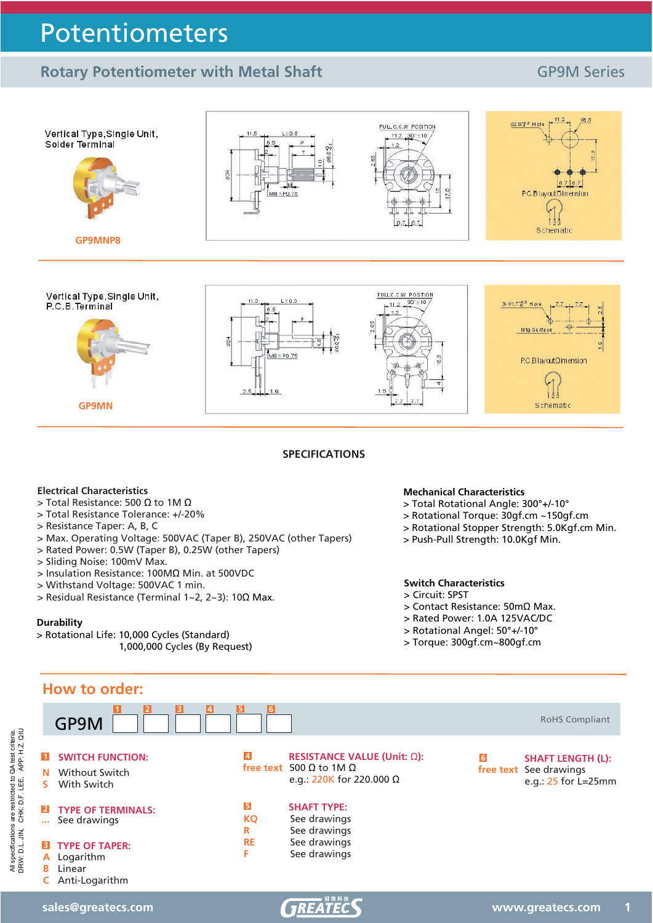## **Rotary Potentiometer with Metal Shaft** GP9M Series



 $1.9$ 

**SPECIFICATIONS**

### **Electrical Characteristics**

**GP9MN**

- $>$  Total Resistance: 500  $\Omega$  to 1M  $\Omega$
- > Total Resistance Tolerance: +/-20%
- > Resistance Taper: A, B, C
- > Max. Operating Voltage: 500VAC (Taper B), 250VAC (other Tapers)
- > Rated Power: 0.5W (Taper B), 0.25W (other Tapers)
- > Sliding Noise: 100mV Max.
- > Insulation Resistance: 100Mȍ Min. at 500VDC
- > Withstand Voltage: 500VAC 1 min.
- $>$  Residual Resistance (Terminal 1~2, 2~3): 10Ω Max.

### **Durability**

> Rotational Life: 10,000 Cycles (Standard) 1,000,000 Cycles (By Request)

### **Mechanical Characteristics**

- > Total Rotational Angle: 300°+/-10°
- > Rotational Torque: 30gf.cm ~150gf.cm
- > Rotational Stopper Strength: 5.0Kgf.cm Min.

 $\frac{1}{1}$ Schematic

> Push-Pull Strength: 10.0Kgf Min.

## **Switch Characteristics**

- > Circuit: SPST
- $>$  Contact Resistance: 50m $\Omega$  Max.
- > Rated Power: 1.0A 125VAC/DC
- > Rotational Angel: 50°+/-10°
- > Torque: 300gf.cm~800gf.cm



specifications are restricted to QA test criteria.<br>W: D.L. JIN, CHK: D.F. LEE, APP: H.Z. QIU DRW: D.L. JIN, CHK: D.F. LEE, APP: H.Z. QIU All specifications are restricted to QA test criteria. All specifications<br>DRW: D.L. JIN,

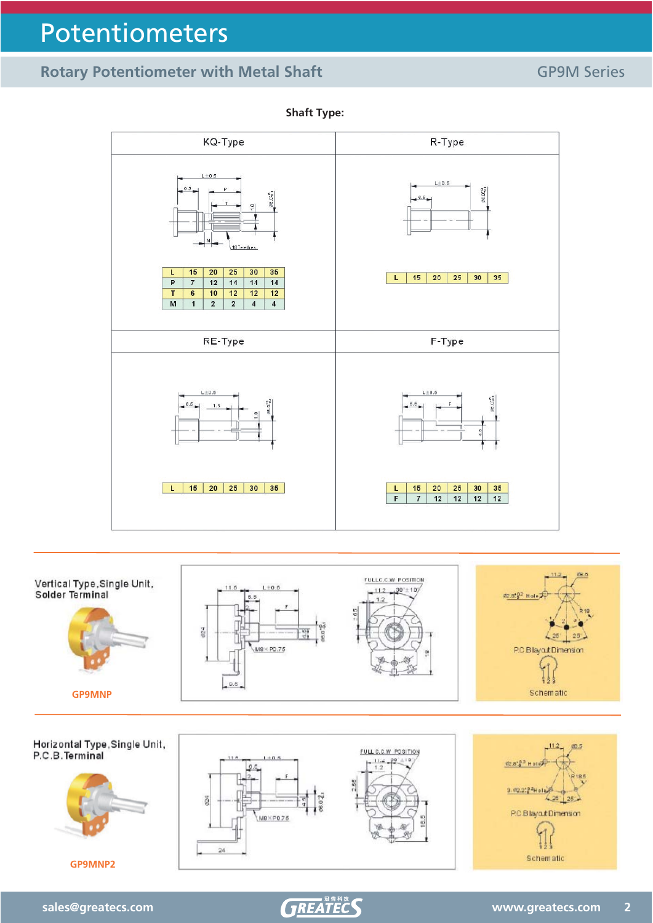## **Rotary Potentiometer with Metal Shaft** GP9M Series



FULLC.C.W. POSITION Vertical Type,Single Unit,<br>Solder Terminal  $L \pm 0.5$  $-112$  $30 + 10$ 11.5 @2.852 Hole  $1.2$ g w.  $4.25$  $25^{\circ}$ M8 × PO.75 P.C.BlayoutDimension  $-0.6$ Schematic **GP9MNP**



**Shaft Type:**

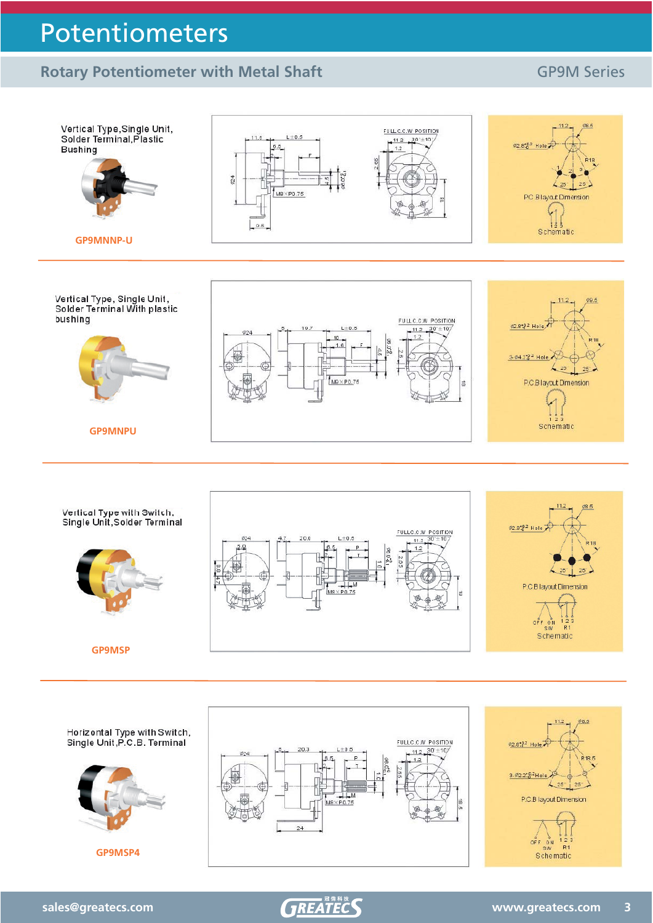## **Rotary Potentiometer with Metal Shaft** GP9M Series